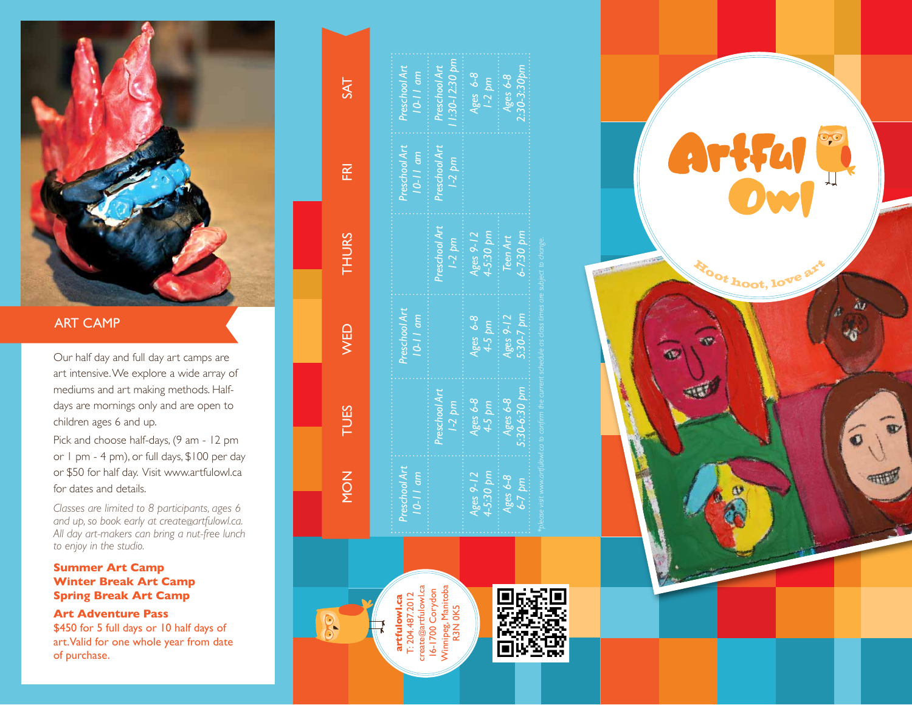

## ART CAMP

Our half day and full day art camps are art intensive. We explore a wide array of mediums and art making methods. Halfdays are mornings only and are open to children ages 6 and up.

Pick and choose half-days, (9 am - 12 pm or 1 pm - 4 pm), or full days, \$100 per day or \$50 for half day. Visit www.artfulowl.ca for dates and details.

*Classes are limited to 8 participants, ages 6 and up, so book early at create @artfulowl.ca. All day art-makers can bring a nut-free lunch to enjoy in the studio.* 

### **Summer Art Camp Winter Break Art Camp Spring Break Art Camp**

**Art Adventure Pass**  \$450 for 5 full days or 10 half days of

art. Valid for one whole year from date of purchase.

| $54^{\circ}$         | Preschool Art<br>$10-11$ am   | $1.30 - 12.30$ pm<br>Preschool Art | Ages 6-8<br>$1-2$ pm     | $2:30-3:30$ bm<br>Ages 6-8     |
|----------------------|-------------------------------|------------------------------------|--------------------------|--------------------------------|
| $\frac{\alpha}{\mu}$ | Preschool Art<br>$10-11$ am   | Preschool Art<br>$1-2$ pm          |                          |                                |
| <b>THURS</b>         |                               | Preschool Art<br>$1-2$ pm          | Ages 9-12<br>4-5:30 pm   | 5-7:30 pm<br>Teen Art          |
| <b>NED</b>           | Preschool Art<br>$10 - 11$ am |                                    | Ages 6-8<br>$4.5$ pm     | $5.30 - 7$ pm<br>Ages $9 - 12$ |
| TUES.                |                               | Preschool Art<br>$1-2 pm$          | Ages $6-8$<br>$4-5$ pm   | $5.30 - 6.30$ pm<br>Ages $6-8$ |
| MON                  | Preschool Art<br>$10-11$ am   |                                    | 4-5:30 pm<br>Ages $9-12$ | Ages 6-8<br>$6 - 7$ pm         |



 $R$